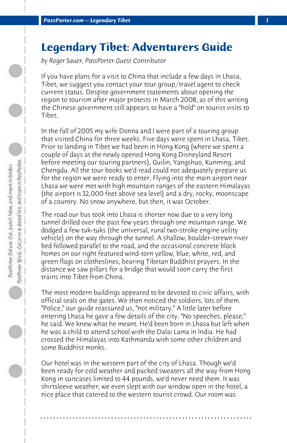## **Legendary Tibet: Adventurers Guide**

*by Roger Sauer, PassPorter Guest Contributor*

If you have plans for a visit to China that include a few days in Lhasa, Tibet, we suggest you contact your tour group/travel agent to check current status. Despite government statements about opening the region to tourism after major protests in March 2008, as of this writing the Chinese government still appears to have a "hold" on tourist visits to Tibet.

In the fall of 2005 my wife Donna and I were part of a touring group that visited China for three weeks. Five days were spent in Lhasa, Tibet. Prior to landing in Tibet we had been in Hong Kong (where we spent a couple of days at the newly opened Hong Kong Disneyland Resort before meeting our touring partners), Guilin, Yangshuo, Kunming, and Chengdu. All the tour books we'd read could not adequately prepare us for the region we were ready to enter. Flying into the main airport near Lhasa we were met with high mountain ranges of the eastern Himalayas (the airport is 12,000 feet above sea level) and a dry, rocky, moonscape of a country. No snow anywhere, but then, it was October.

The road our bus took into Lhasa is shorter now due to a very long tunnel drilled over the past few years through one mountain range. We dodged a few tuk-tuks (the universal, rural two-stroke engine utility vehicle) on the way through the tunnel. A shallow, boulder-strewn river bed followed parallel to the road, and the occasional concrete block homes on our right featured wind-torn yellow, blue, white, red, and green flags on clotheslines, bearing Tibetan Buddhist prayers. In the distance we saw pillars for a bridge that would soon carry the first trains into Tibet from China.

The most modern buildings appeared to be devoted to civic affairs, with official seals on the gates. We then noticed the soldiers, lots of them. "Police," our guide reassured us, "not military." A little later before entering Lhasa he gave a few details of the city. "No speeches, please," he said. We knew what he meant. He'd been born in Lhasa but left when he was a child to attend school with the Dalai Lama in India. He had crossed the Himalayas into Kathmandu with some other children and some Buddhist monks.

Our hotel was in the western part of the city of Lhasa. Though we'd been ready for cold weather and packed sweaters all the way from Hong Kong in suitcases limited to 44 pounds, we'd never need them. It was shirtsleeve weather; we even slept with our window open in the hotel, a nice place that catered to the western tourist crowd. Our room was

**. . . . . . . . . . . . . . . . . . . . . . . . . . . . . . . . . . . . . . . . . . . . . . . . . . . . . . . . . . . . . . . . . .**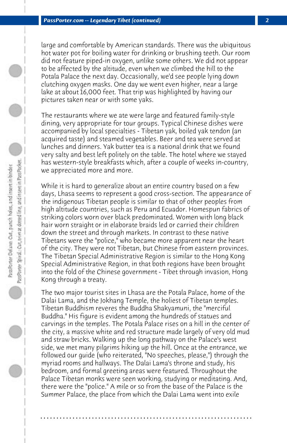large and comfortable by American standards. There was the ubiquitous hot water pot for boiling water for drinking or brushing teeth. Our room did not feature piped-in oxygen, unlike some others. We did not appear to be affected by the altitude, even when we climbed the hill to the Potala Palace the next day. Occasionally, we'd see people lying down clutching oxygen masks. One day we went even higher, near a large lake at about 16,000 feet. That trip was highlighted by having our pictures taken near or with some yaks.

The restaurants where we ate were large and featured family-style dining, very appropriate for tour groups. Typical Chinese dishes were accompanied by local specialties - Tibetan yak, boiled yak tendon (an acquired taste) and steamed vegetables. Beer and tea were served at lunches and dinners. Yak butter tea is a national drink that we found very salty and best left politely on the table. The hotel where we stayed has western-style breakfasts which, after a couple of weeks in-country, we appreciated more and more.

While it is hard to generalize about an entire country based on a few days, Lhasa seems to represent a good cross-section. The appearance of the indigenous Tibetan people is similar to that of other peoples from high altitude countries, such as Peru and Ecuador. Homespun fabrics of striking colors worn over black predominated. Women with long black hair worn straight or in elaborate braids led or carried their children down the street and through markets. In contrast to these native Tibetans were the "police," who became more apparent near the heart of the city. They were not Tibetan, but Chinese from eastern provinces. The Tibetan Special Administrative Region is similar to the Hong Kong Special Administrative Region, in that both regions have been brought into the fold of the Chinese government - Tibet through invasion, Hong Kong through a treaty.

The two major tourist sites in Lhasa are the Potala Palace, home of the Dalai Lama, and the Jokhang Temple, the holiest of Tibetan temples. Tibetan Buddhism reveres the Buddha Shakyamuni, the "merciful Buddha." His figure is evident among the hundreds of statues and carvings in the temples. The Potala Palace rises on a hill in the center of the city, a massive white and red structure made largely of very old mud and straw bricks. Walking up the long pathway on the Palace's west side, we met many pilgrims hiking up the hill. Once at the entrance, we followed our guide (who reiterated, "No speeches, please,") through the myriad rooms and hallways. The Dalai Lama's throne and study, his bedroom, and formal greeting areas were featured. Throughout the Palace Tibetan monks were seen working, studying or meditating. And, there were the "police." A mile or so from the base of the Palace is the Summer Palace, the place from which the Dalai Lama went into exile

**. . . . . . . . . . . . . . . . . . . . . . . . . . . . . . . . . . . . . . . . . . . . . . . . . . . . . . . . . . . . . . . . . .**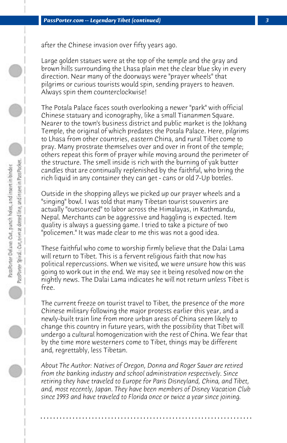after the Chinese invasion over fifty years ago.

Large golden statues were at the top of the temple and the gray and brown hills surrounding the Lhasa plain met the clear blue sky in every direction. Near many of the doorways were "prayer wheels" that pilgrims or curious tourists would spin, sending prayers to heaven. Always spin them counterclockwise!

The Potala Palace faces south overlooking a newer "park" with official Chinese statuary and iconography, like a small Tiananmen Square. Nearer to the town's business district and public market is the Jokhang Temple, the original of which predates the Potala Palace. Here, pilgrims to Lhasa from other countries, eastern China, and rural Tibet come to pray. Many prostrate themselves over and over in front of the temple; others repeat this form of prayer while moving around the perimeter of the structure. The smell inside is rich with the burning of yak butter candles that are continually replenished by the faithful, who bring the rich liquid in any container they can get - cans or old 7-Up bottles.

Outside in the shopping alleys we picked up our prayer wheels and a "singing" bowl. I was told that many Tibetan tourist souvenirs are actually "outsourced" to labor across the Himalayas, in Kathmandu, Nepal. Merchants can be aggressive and haggling is expected. Item quality is always a guessing game. I tried to take a picture of two "policemen." It was made clear to me this was not a good idea.

These faithful who come to worship firmly believe that the Dalai Lama will return to Tibet. This is a fervent religious faith that now has political repercussions. When we visited, we were unsure how this was going to work out in the end. We may see it being resolved now on the nightly news. The Dalai Lama indicates he will not return unless Tibet is free.

The current freeze on tourist travel to Tibet, the presence of the more Chinese military following the major protests earlier this year, and a newly-built train line from more urban areas of China seem likely to change this country in future years, with the possibility that Tibet will undergo a cultural homogenization with the rest of China. We fear that by the time more westerners come to Tibet, things may be different and, regrettably, less Tibetan.

*About The Author: Natives of Oregon, Donna and Roger Sauer are retired from the banking industry and school administration respectively. Since retiring they have traveled to Europe for Paris Disneyland, China, and Tibet, and, most recently, Japan. They have been members of Disney Vacation Club since 1993 and have traveled to Florida once or twice a year since joining.*

**. . . . . . . . . . . . . . . . . . . . . . . . . . . . . . . . . . . . . . . . . . . . . . . . . . . . . . . . . . . . . . . . . .**